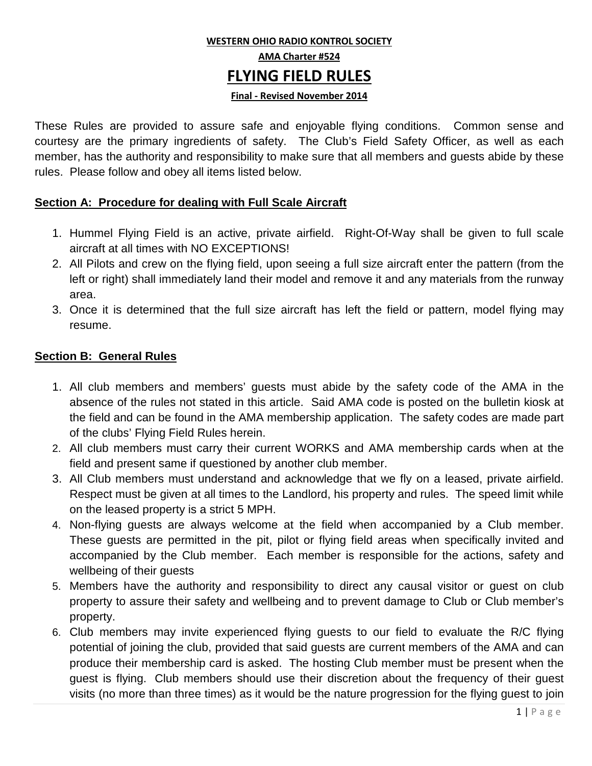# **WESTERN OHIO RADIO KONTROL SOCIETY AMA Charter #524 FLYING FIELD RULES**

#### **Final - Revised November 2014**

These Rules are provided to assure safe and enjoyable flying conditions. Common sense and courtesy are the primary ingredients of safety. The Club's Field Safety Officer, as well as each member, has the authority and responsibility to make sure that all members and guests abide by these rules. Please follow and obey all items listed below.

#### **Section A: Procedure for dealing with Full Scale Aircraft**

- 1. Hummel Flying Field is an active, private airfield. Right-Of-Way shall be given to full scale aircraft at all times with NO EXCEPTIONS!
- 2. All Pilots and crew on the flying field, upon seeing a full size aircraft enter the pattern (from the left or right) shall immediately land their model and remove it and any materials from the runway area.
- 3. Once it is determined that the full size aircraft has left the field or pattern, model flying may resume.

#### **Section B: General Rules**

- 1. All club members and members' guests must abide by the safety code of the AMA in the absence of the rules not stated in this article. Said AMA code is posted on the bulletin kiosk at the field and can be found in the AMA membership application. The safety codes are made part of the clubs' Flying Field Rules herein.
- 2. All club members must carry their current WORKS and AMA membership cards when at the field and present same if questioned by another club member.
- 3. All Club members must understand and acknowledge that we fly on a leased, private airfield. Respect must be given at all times to the Landlord, his property and rules. The speed limit while on the leased property is a strict 5 MPH.
- 4. Non-flying guests are always welcome at the field when accompanied by a Club member. These guests are permitted in the pit, pilot or flying field areas when specifically invited and accompanied by the Club member. Each member is responsible for the actions, safety and wellbeing of their guests
- 5. Members have the authority and responsibility to direct any causal visitor or guest on club property to assure their safety and wellbeing and to prevent damage to Club or Club member's property.
- 6. Club members may invite experienced flying guests to our field to evaluate the R/C flying potential of joining the club, provided that said guests are current members of the AMA and can produce their membership card is asked. The hosting Club member must be present when the guest is flying. Club members should use their discretion about the frequency of their guest visits (no more than three times) as it would be the nature progression for the flying guest to join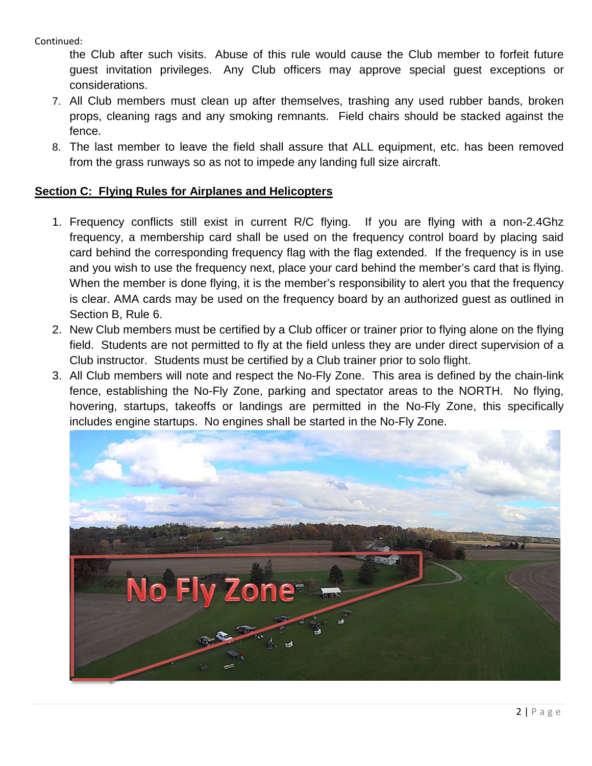Continued:

the Club after such visits. Abuse of this rule would cause the Club member to forfeit future guest invitation privileges. Any Club officers may approve special guest exceptions or considerations.

- 7. All Club members must clean up after themselves, trashing any used rubber bands, broken props, cleaning rags and any smoking remnants. Field chairs should be stacked against the fence.
- 8. The last member to leave the field shall assure that ALL equipment, etc. has been removed from the grass runways so as not to impede any landing full size aircraft.

### **Section C: Flying Rules for Airplanes and Helicopters**

- 1. Frequency conflicts still exist in current R/C flying. If you are flying with a non-2.4Ghz frequency, a membership card shall be used on the frequency control board by placing said card behind the corresponding frequency flag with the flag extended. If the frequency is in use and you wish to use the frequency next, place your card behind the member's card that is flying. When the member is done flying, it is the member's responsibility to alert you that the frequency is clear. AMA cards may be used on the frequency board by an authorized guest as outlined in Section B, Rule 6.
- 2. New Club members must be certified by a Club officer or trainer prior to flying alone on the flying field. Students are not permitted to fly at the field unless they are under direct supervision of a Club instructor. Students must be certified by a Club trainer prior to solo flight.
- 3. All Club members will note and respect the No-Fly Zone. This area is defined by the chain-link fence, establishing the No-Fly Zone, parking and spectator areas to the NORTH. No flying, hovering, startups, takeoffs or landings are permitted in the No-Fly Zone, this specifically includes engine startups. No engines shall be started in the No-Fly Zone.

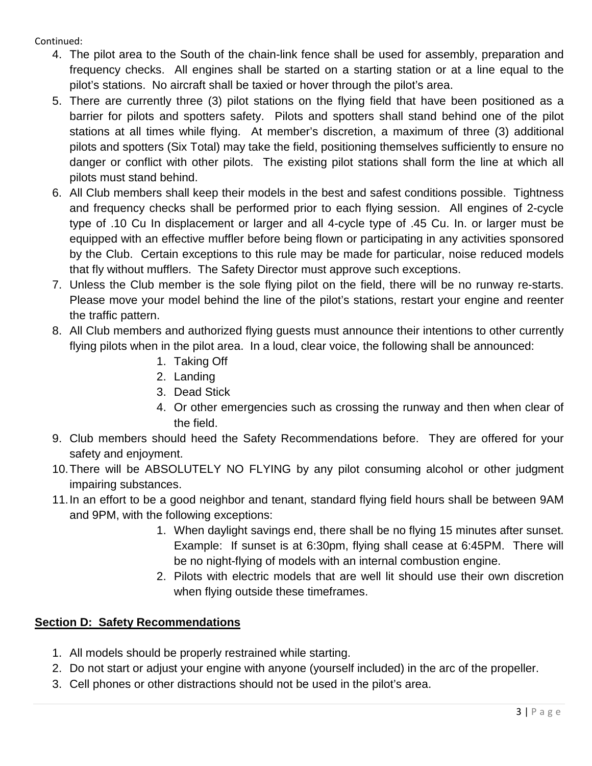Continued:

- 4. The pilot area to the South of the chain-link fence shall be used for assembly, preparation and frequency checks. All engines shall be started on a starting station or at a line equal to the pilot's stations. No aircraft shall be taxied or hover through the pilot's area.
- 5. There are currently three (3) pilot stations on the flying field that have been positioned as a barrier for pilots and spotters safety. Pilots and spotters shall stand behind one of the pilot stations at all times while flying. At member's discretion, a maximum of three (3) additional pilots and spotters (Six Total) may take the field, positioning themselves sufficiently to ensure no danger or conflict with other pilots. The existing pilot stations shall form the line at which all pilots must stand behind.
- 6. All Club members shall keep their models in the best and safest conditions possible. Tightness and frequency checks shall be performed prior to each flying session. All engines of 2-cycle type of .10 Cu In displacement or larger and all 4-cycle type of .45 Cu. In. or larger must be equipped with an effective muffler before being flown or participating in any activities sponsored by the Club. Certain exceptions to this rule may be made for particular, noise reduced models that fly without mufflers. The Safety Director must approve such exceptions.
- 7. Unless the Club member is the sole flying pilot on the field, there will be no runway re-starts. Please move your model behind the line of the pilot's stations, restart your engine and reenter the traffic pattern.
- 8. All Club members and authorized flying guests must announce their intentions to other currently flying pilots when in the pilot area. In a loud, clear voice, the following shall be announced:
	- 1. Taking Off
	- 2. Landing
	- 3. Dead Stick
	- 4. Or other emergencies such as crossing the runway and then when clear of the field.
- 9. Club members should heed the Safety Recommendations before. They are offered for your safety and enjoyment.
- 10.There will be ABSOLUTELY NO FLYING by any pilot consuming alcohol or other judgment impairing substances.
- 11.In an effort to be a good neighbor and tenant, standard flying field hours shall be between 9AM and 9PM, with the following exceptions:
	- 1. When daylight savings end, there shall be no flying 15 minutes after sunset. Example: If sunset is at 6:30pm, flying shall cease at 6:45PM. There will be no night-flying of models with an internal combustion engine.
	- 2. Pilots with electric models that are well lit should use their own discretion when flying outside these timeframes.

## **Section D: Safety Recommendations**

- 1. All models should be properly restrained while starting.
- 2. Do not start or adjust your engine with anyone (yourself included) in the arc of the propeller.
- 3. Cell phones or other distractions should not be used in the pilot's area.